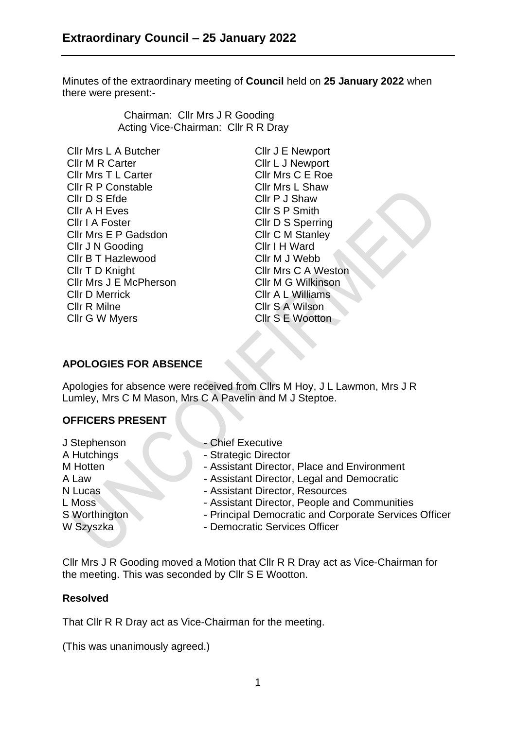Minutes of the extraordinary meeting of **Council** held on **25 January 2022** when there were present:-

> Chairman: Cllr Mrs J R Gooding Acting Vice-Chairman: Cllr R R Dray

Cllr Mrs L A Butcher Cllr J E Newport Cllr M R Carter Cllr L J Newport Cllr Mrs T L Carter Cllr Mrs C E Roe Cllr R P Constable Cllr Mrs L Shaw Cllr D S Efde Cllr P J Shaw Cllr A H Eves Cllr S P Smith Cllr I A Foster Cllr D S Sperring Cllr Mrs E P Gadsdon Cllr C M Stanley Cllr J N Gooding Cllr I H Ward Cllr B T Hazlewood Cllr M J Webb Cllr T D Knight Cllr Mrs C A Weston Cllr Mrs J E McPherson Cllr D Merrick Cllr R Milne Cllr G W Myers

Cllr M G Wilkinson Cllr A L Williams Cllr S A Wilson Cllr S E Wootton

### **APOLOGIES FOR ABSENCE**

Apologies for absence were received from Cllrs M Hoy, J L Lawmon, Mrs J R Lumley, Mrs C M Mason, Mrs C A Pavelin and M J Steptoe.

# **OFFICERS PRESENT**

- 
- J Stephenson Chief Executive
- A Hutchings **A Hutchings** Strategic Director
- M Hotten Assistant Director, Place and Environment
- A Law  **Assistant Director, Legal and Democratic**
- N Lucas Assistant Director, Resources
- L Moss **COMENT Assistant Director, People and Communities**
- S Worthington Principal Democratic and Corporate Services Officer
- W Szyszka Democratic Services Officer

Cllr Mrs J R Gooding moved a Motion that Cllr R R Dray act as Vice-Chairman for the meeting. This was seconded by Cllr S E Wootton.

# **Resolved**

That Cllr R R Dray act as Vice-Chairman for the meeting.

(This was unanimously agreed.)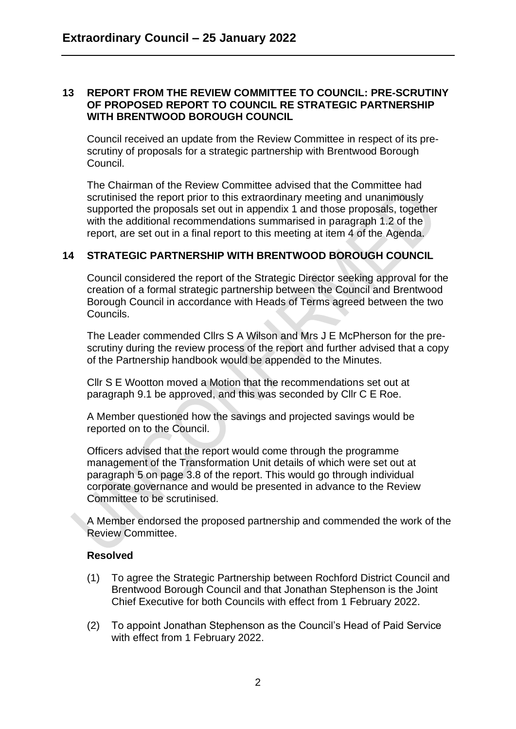#### **13 REPORT FROM THE REVIEW COMMITTEE TO COUNCIL: PRE-SCRUTINY OF PROPOSED REPORT TO COUNCIL RE STRATEGIC PARTNERSHIP WITH BRENTWOOD BOROUGH COUNCIL**

Council received an update from the Review Committee in respect of its prescrutiny of proposals for a strategic partnership with Brentwood Borough Council.

The Chairman of the Review Committee advised that the Committee had scrutinised the report prior to this extraordinary meeting and unanimously supported the proposals set out in appendix 1 and those proposals, together with the additional recommendations summarised in paragraph 1.2 of the report, are set out in a final report to this meeting at item 4 of the Agenda.

# **14 STRATEGIC PARTNERSHIP WITH BRENTWOOD BOROUGH COUNCIL**

Council considered the report of the Strategic Director seeking approval for the creation of a formal strategic partnership between the Council and Brentwood Borough Council in accordance with Heads of Terms agreed between the two Councils.

The Leader commended Cllrs S A Wilson and Mrs J E McPherson for the prescrutiny during the review process of the report and further advised that a copy of the Partnership handbook would be appended to the Minutes.

Cllr S E Wootton moved a Motion that the recommendations set out at paragraph 9.1 be approved, and this was seconded by Cllr C E Roe.

A Member questioned how the savings and projected savings would be reported on to the Council.

Officers advised that the report would come through the programme management of the Transformation Unit details of which were set out at paragraph 5 on page 3.8 of the report. This would go through individual corporate governance and would be presented in advance to the Review Committee to be scrutinised.

A Member endorsed the proposed partnership and commended the work of the Review Committee.

### **Resolved**

- (1) To agree the Strategic Partnership between Rochford District Council and Brentwood Borough Council and that Jonathan Stephenson is the Joint Chief Executive for both Councils with effect from 1 February 2022.
- (2) To appoint Jonathan Stephenson as the Council's Head of Paid Service with effect from 1 February 2022.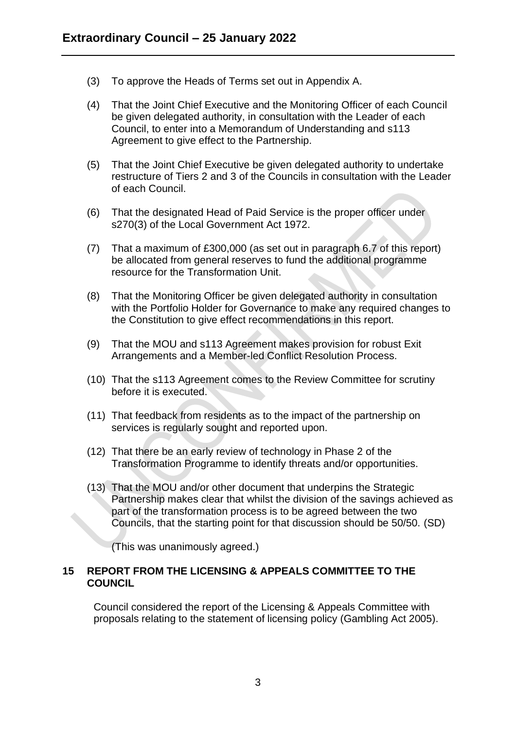- (3) To approve the Heads of Terms set out in Appendix A.
- (4) That the Joint Chief Executive and the Monitoring Officer of each Council be given delegated authority, in consultation with the Leader of each Council, to enter into a Memorandum of Understanding and s113 Agreement to give effect to the Partnership.
- (5) That the Joint Chief Executive be given delegated authority to undertake restructure of Tiers 2 and 3 of the Councils in consultation with the Leader of each Council.
- (6) That the designated Head of Paid Service is the proper officer under s270(3) of the Local Government Act 1972.
- (7) That a maximum of £300,000 (as set out in paragraph 6.7 of this report) be allocated from general reserves to fund the additional programme resource for the Transformation Unit.
- (8) That the Monitoring Officer be given delegated authority in consultation with the Portfolio Holder for Governance to make any required changes to the Constitution to give effect recommendations in this report.
- (9) That the MOU and s113 Agreement makes provision for robust Exit Arrangements and a Member-led Conflict Resolution Process.
- (10) That the s113 Agreement comes to the Review Committee for scrutiny before it is executed.
- (11) That feedback from residents as to the impact of the partnership on services is regularly sought and reported upon.
- (12) That there be an early review of technology in Phase 2 of the Transformation Programme to identify threats and/or opportunities.
- (13) That the MOU and/or other document that underpins the Strategic Partnership makes clear that whilst the division of the savings achieved as part of the transformation process is to be agreed between the two Councils, that the starting point for that discussion should be 50/50. (SD)

(This was unanimously agreed.)

### **15 REPORT FROM THE LICENSING & APPEALS COMMITTEE TO THE COUNCIL**

Council considered the report of the Licensing & Appeals Committee with proposals relating to the statement of licensing policy (Gambling Act 2005).